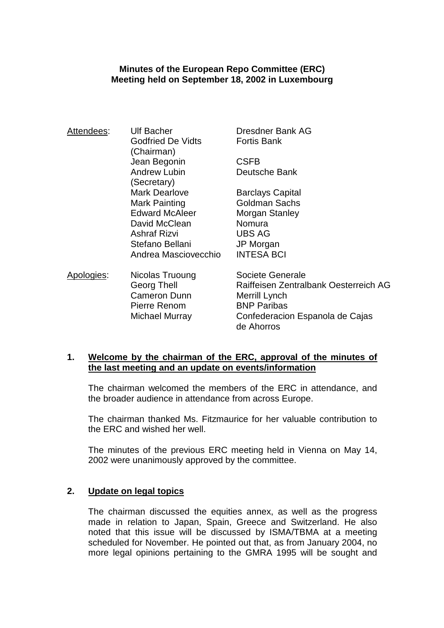#### **Minutes of the European Repo Committee (ERC) Meeting held on September 18, 2002 in Luxembourg**

| Attendees: | <b>Ulf Bacher</b>        | Dresdner Bank AG                      |
|------------|--------------------------|---------------------------------------|
|            | <b>Godfried De Vidts</b> | <b>Fortis Bank</b>                    |
|            | (Chairman)               |                                       |
|            | Jean Begonin             | <b>CSFB</b>                           |
|            | <b>Andrew Lubin</b>      | Deutsche Bank                         |
|            | (Secretary)              |                                       |
|            | <b>Mark Dearlove</b>     | <b>Barclays Capital</b>               |
|            | Mark Painting            | <b>Goldman Sachs</b>                  |
|            | <b>Edward McAleer</b>    | Morgan Stanley                        |
|            | David McClean            | Nomura                                |
|            | <b>Ashraf Rizvi</b>      | <b>UBS AG</b>                         |
|            | Stefano Bellani          | JP Morgan                             |
|            | Andrea Masciovecchio     | <b>INTESA BCI</b>                     |
| Apologies: | Nicolas Truoung          | Societe Generale                      |
|            | Georg Thell              | Raiffeisen Zentralbank Oesterreich AG |
|            | <b>Cameron Dunn</b>      | Merrill Lynch                         |
|            | Pierre Renom             | <b>BNP Paribas</b>                    |

#### **1. Welcome by the chairman of the ERC, approval of the minutes of the last meeting and an update on events/information**

 The chairman welcomed the members of the ERC in attendance, and the broader audience in attendance from across Europe.

 Michael Murray Confederacion Espanola de Cajas de Ahorros

 The chairman thanked Ms. Fitzmaurice for her valuable contribution to the ERC and wished her well.

 The minutes of the previous ERC meeting held in Vienna on May 14, 2002 were unanimously approved by the committee.

#### **2. Update on legal topics**

 The chairman discussed the equities annex, as well as the progress made in relation to Japan, Spain, Greece and Switzerland. He also noted that this issue will be discussed by ISMA/TBMA at a meeting scheduled for November. He pointed out that, as from January 2004, no more legal opinions pertaining to the GMRA 1995 will be sought and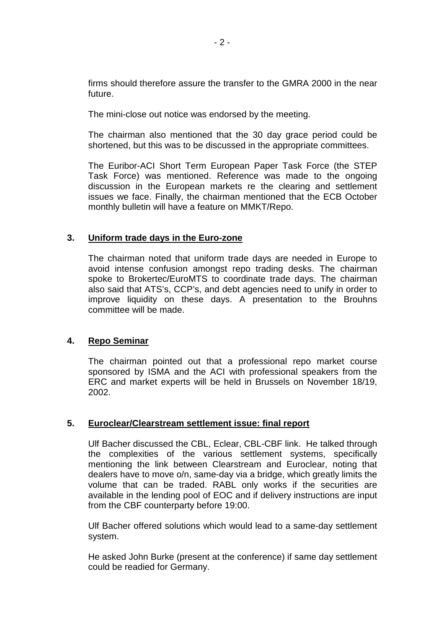firms should therefore assure the transfer to the GMRA 2000 in the near future.

The mini-close out notice was endorsed by the meeting.

 The chairman also mentioned that the 30 day grace period could be shortened, but this was to be discussed in the appropriate committees.

 The Euribor-ACI Short Term European Paper Task Force (the STEP Task Force) was mentioned. Reference was made to the ongoing discussion in the European markets re the clearing and settlement issues we face. Finally, the chairman mentioned that the ECB October monthly bulletin will have a feature on MMKT/Repo.

#### **3. Uniform trade days in the Euro-zone**

 The chairman noted that uniform trade days are needed in Europe to avoid intense confusion amongst repo trading desks. The chairman spoke to Brokertec/EuroMTS to coordinate trade days. The chairman also said that ATS's, CCP's, and debt agencies need to unify in order to improve liquidity on these days. A presentation to the Brouhns committee will be made.

#### **4. Repo Seminar**

 The chairman pointed out that a professional repo market course sponsored by ISMA and the ACI with professional speakers from the ERC and market experts will be held in Brussels on November 18/19, 2002.

#### **5. Euroclear/Clearstream settlement issue: final report**

 Ulf Bacher discussed the CBL, Eclear, CBL-CBF link. He talked through the complexities of the various settlement systems, specifically mentioning the link between Clearstream and Euroclear, noting that dealers have to move o/n, same-day via a bridge, which greatly limits the volume that can be traded. RABL only works if the securities are available in the lending pool of EOC and if delivery instructions are input from the CBF counterparty before 19:00.

 Ulf Bacher offered solutions which would lead to a same-day settlement system.

 He asked John Burke (present at the conference) if same day settlement could be readied for Germany.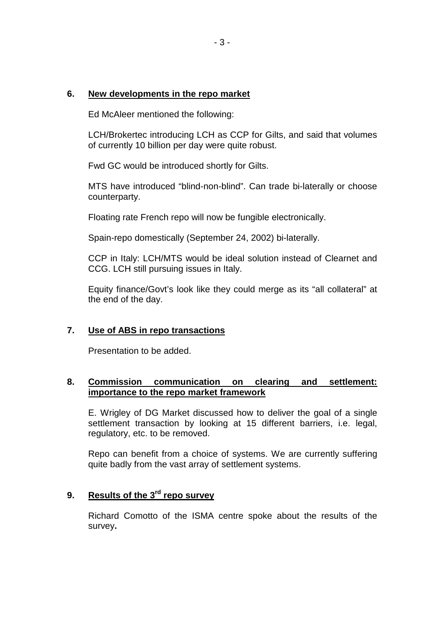#### **6. New developments in the repo market**

Ed McAleer mentioned the following:

 LCH/Brokertec introducing LCH as CCP for Gilts, and said that volumes of currently 10 billion per day were quite robust.

Fwd GC would be introduced shortly for Gilts.

 MTS have introduced "blind-non-blind". Can trade bi-laterally or choose counterparty.

Floating rate French repo will now be fungible electronically.

Spain-repo domestically (September 24, 2002) bi-laterally.

 CCP in Italy: LCH/MTS would be ideal solution instead of Clearnet and CCG. LCH still pursuing issues in Italy.

 Equity finance/Govt's look like they could merge as its "all collateral" at the end of the day.

#### **7. Use of ABS in repo transactions**

Presentation to be added.

#### **8. Commission communication on clearing and settlement: importance to the repo market framework**

 E. Wrigley of DG Market discussed how to deliver the goal of a single settlement transaction by looking at 15 different barriers, i.e. legal, regulatory, etc. to be removed.

 Repo can benefit from a choice of systems. We are currently suffering quite badly from the vast array of settlement systems.

### **9. Results of the 3rd repo survey**

 Richard Comotto of the ISMA centre spoke about the results of the survey**.**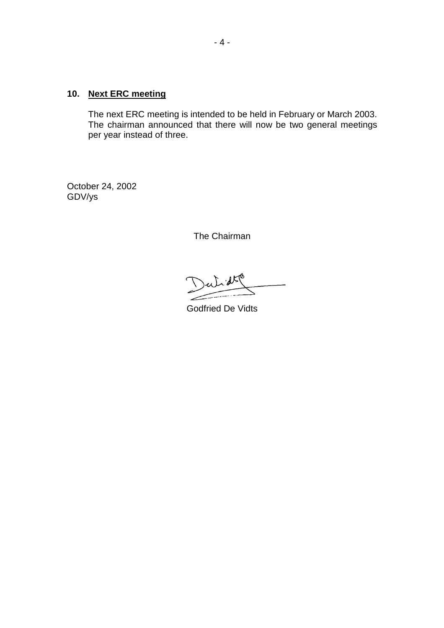### **10. Next ERC meeting**

 The next ERC meeting is intended to be held in February or March 2003. The chairman announced that there will now be two general meetings per year instead of three.

October 24, 2002 GDV/ys

The Chairman

 $\mathcal{A}$ 

Godfried De Vidts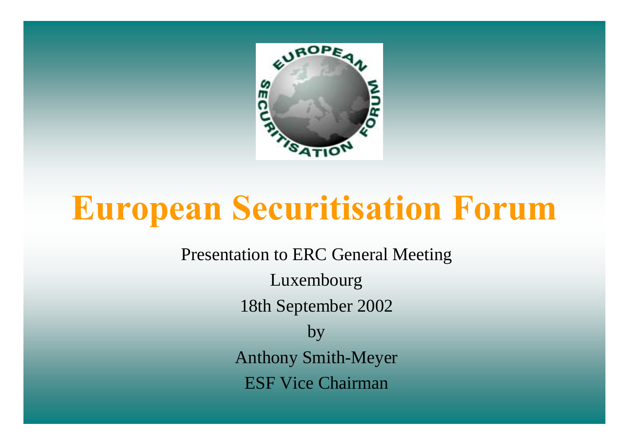

# **European Securitisation Forum**

Presentation to ERC General Meeting Luxembourg 18th September 2002 by Anthony Smith-Meyer ESF Vice Chairman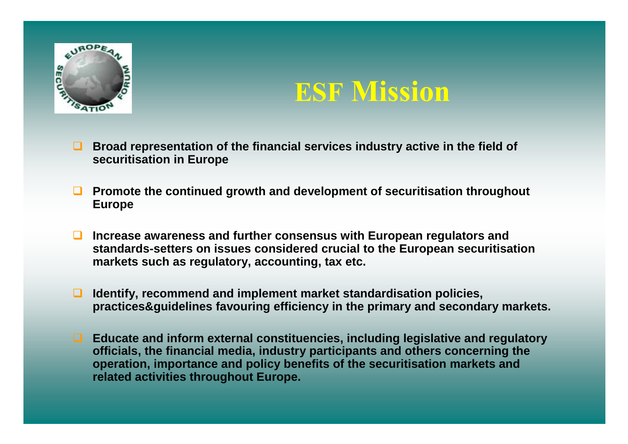

## **ESF Mission**

- $\Box$  **Broad representation of the financial services industry active in the field of securitisation in Europe**
- $\Box$  **Promote the continued growth and development of securitisation throughout Europe**
- $\Box$  **Increase awareness and further consensus with European regulators and standards-setters on issues considered crucial to the European securitisation markets such as regulatory, accounting, tax etc.**
- ❏. **Identify, recommend and implement market standardisation policies, practices&guidelines favouring efficiency in the primary and secondary markets.**
- **Educate and inform external constituencies, including legislative and regulatory officials, the financial media, industry participants and others concerning the operation, importance and policy benefits of the securitisation markets and related activities throughout Europe.**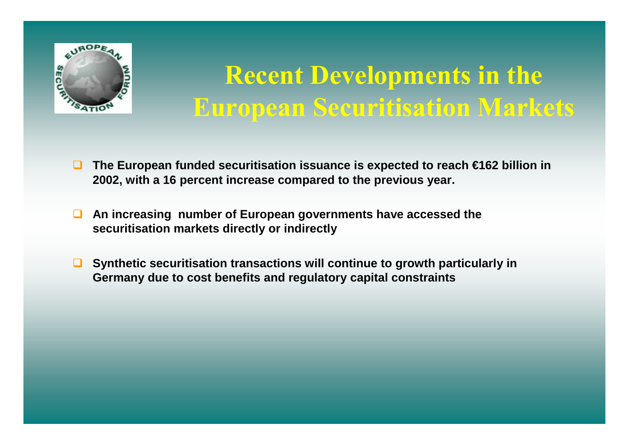

## **Recent Developments in the European Securitisation Markets**

- $\Box$  **The European funded securitisation issuance is expected to reach €162 billion in 2002, with a 16 percent increase compared to the previous year.**
- $\Box$  **An increasing number of European governments have accessed the securitisation markets directly or indirectly**
- $\Box$  **Synthetic securitisation transactions will continue to growth particularly in Germany due to cost benefits and regulatory capital constraints**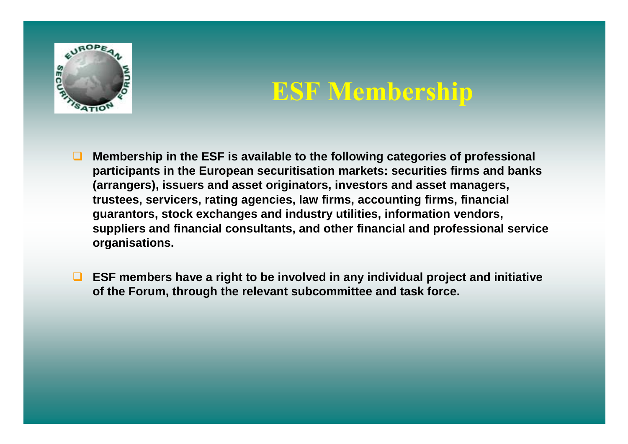

### **ESF Membership**

- $\Box$  **Membership in the ESF is available to the following categories of professional participants in the European securitisation markets: securities firms and banks (arrangers), issuers and asset originators, investors and asset managers, trustees, servicers, rating agencies, law firms, accounting firms, financial guarantors, stock exchanges and industry utilities, information vendors, suppliers and financial consultants, and other financial and professional service organisations.**
- $\Box$  **ESF members have a right to be involved in any individual project and initiative of the Forum, through the relevant subcommittee and task force.**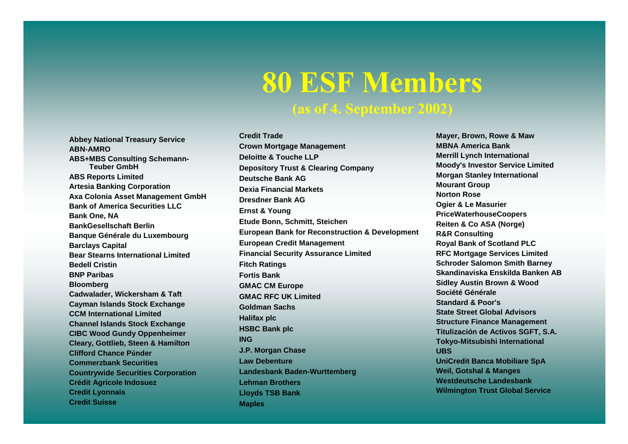# **80 ESF Members**

### **(as of 4. September 2002)**

**Abbey National Treasury Service ABN-AMROABS+MBS Consulting Schemann-Teuber GmbHABS Reports Limited Artesia Banking Corporation Axa Colonia Asset Management GmbH Bank of America Securities LLCBank One, NA BankGesellschaft BerlinBanque Générale du Luxembourg Barclays Capital Bear Stearns International LimitedBedell CristinBNP ParibasBloomberg Cadwalader, Wickersham & Taft Cayman Islands Stock Exchange CCM International LimitedChannel Islands Stock Exchange CIBC Wood Gundy Oppenheimer Cleary, Gottlieb, Steen & Hamilton Clifford Chance PűnderCommerzbank SecuritiesCountrywide Securities Corporation Crédit Agricole Indosuez Credit Lyonnais Credit Suisse**

**Credit TradeCrown Mortgage Management Deloitte & Touche LLPDepository Trust & Clearing Company Deutsche Bank AGDexia Financial MarketsDresdner Bank AGErnst & Young Etude Bonn, Schmitt, Steichen European Bank for Reconstruction & Development European Credit Management Financial Security Assurance Limited Fitch Ratings Fortis BankGMAC CM Europe GMAC RFC UK LimitedGoldman SachsHalifax plc HSBC Bank plc ING J.P. Morgan Chase Law DebentureLandesbank Baden-Wurttemberg Lehman BrothersLloyds TSB Bank Maples**

**Mayer, Brown, Rowe & Maw MBNA America BankMerrill Lynch International Moody's Investor Service Limited Morgan Stanley International Mourant Group Norton RoseOgier & Le Masurier PriceWaterhouseCoopers Reiten & Co ASA (Norge) R&R Consulting Royal Bank of Scotland PLC RFC Mortgage Services Limited Schroder Salomon Smith Barney Skandinaviska Enskilda Banken ABSidley Austin Brown & Wood Société GénéraleStandard & Poor'sState Street Global AdvisorsStructure Finance Management Titulización de Activos SGFT, S.A. Tokyo-Mitsubishi International UBSUniCredit Banca Mobiliare SpA Weil, Gotshal & Manges Westdeutsche LandesbankWilmington Trust Global Service**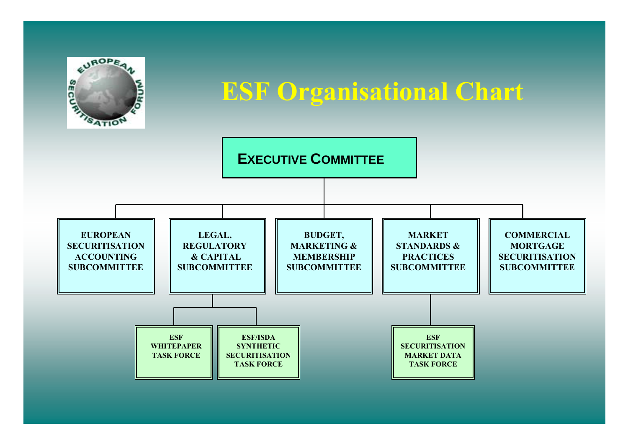

### **ESF Organisational Chart**

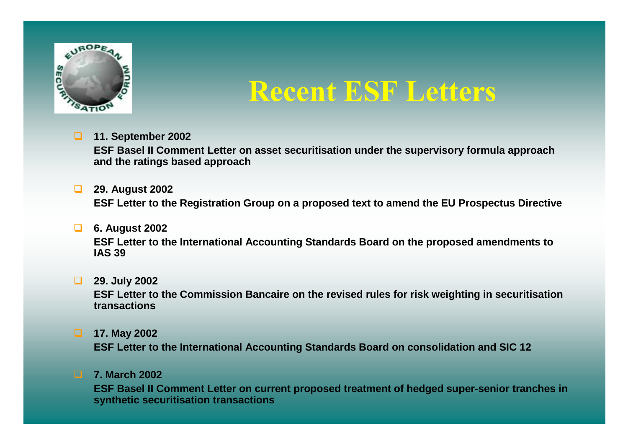

## **Recent ESF Letters**

**11. September 2002**

**ESF Basel II Comment Letter on asset securitisation under the supervisory formula approach and the ratings based approach**

- **29. August 2002 ESF Letter to the Registration Group on a proposed text to amend the EU Prospectus Directive**
- **6. August 2002 ESF Letter to the International Accounting Standards Board on the proposed amendments to IAS 39**
- **29. July 2002**

**ESF Letter to the Commission Bancaire on the revised rules for risk weighting in securitisation transactions**

**17. May 2002**

**ESF Letter to the International Accounting Standards Board on consolidation and SIC 12**

**7. March 2002**

**ESF Basel II Comment Letter on current proposed treatment of hedged super-senior tranches in synthetic securitisation transactions**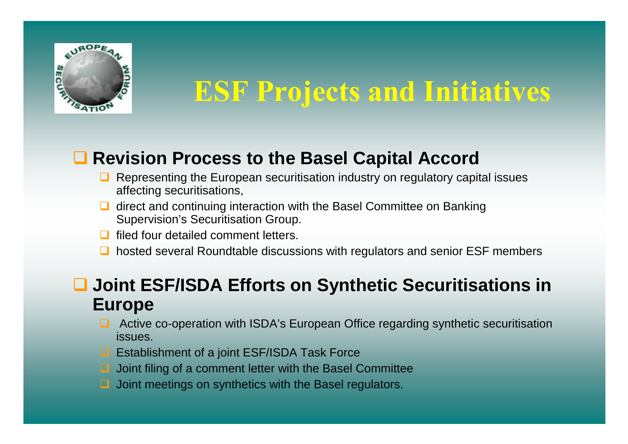

## **ESF Projects and Initiatives**

### ■ Revision Process to the Basel Capital Accord

- $\Box$  Representing the European securitisation industry on regulatory capital issues affecting securitisations,
- $\Box$  direct and continuing interaction with the Basel Committee on Banking Supervision's Securitisation Group.
- $\Box$ filed four detailed comment letters.
- **□** hosted several Roundtable discussions with regulators and senior ESF members

### **Joint ESF/ISDA Efforts on Synthetic Securitisations in Europe**

- Active co-operation with ISDA's European Office regarding synthetic securitisation issues.
- Establishment of a joint ESF/ISDA Task Force
- □ Joint filing of a comment letter with the Basel Committee
- $\Box$ Joint meetings on synthetics with the Basel regulators.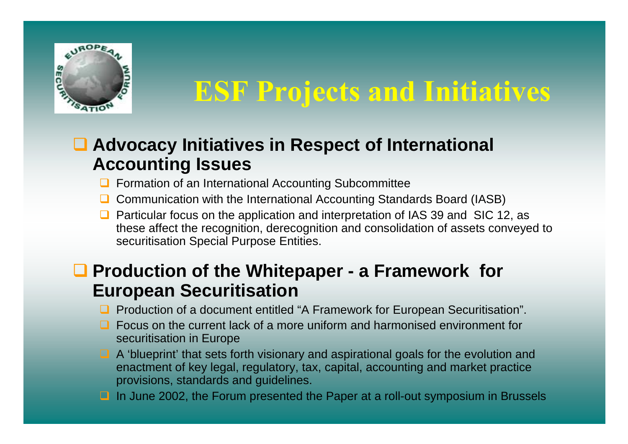

## **ESF Projects and Initiatives**

### **Advocacy Initiatives in Respect of International Accounting Issues**

- **Q** Formation of an International Accounting Subcommittee
- **□** Communication with the International Accounting Standards Board (IASB)
- $\Box$  Particular focus on the application and interpretation of IAS 39 and SIC 12, as these affect the recognition, derecognition and consolidation of assets conveyed to securitisation Special Purpose Entities.

### **Production of the Whitepaper - a Framework for European Securitisation**

- Production of a document entitled "A Framework for European Securitisation".
- $\Box$  Focus on the current lack of a more uniform and harmonised environment for securitisation in Europe
- A 'blueprint' that sets forth visionary and aspirational goals for the evolution and enactment of key legal, regulatory, tax, capital, accounting and market practice provisions, standards and guidelines.
- $\Box$ In June 2002, the Forum presented the Paper at a roll-out symposium in Brussels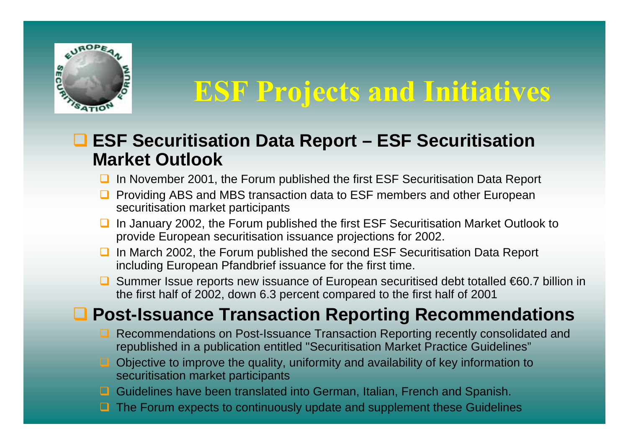

## **ESF Projects and Initiatives**

### **ESF Securitisation Data Report – ESF Securitisation Market Outlook**

- **□** In November 2001, the Forum published the first ESF Securitisation Data Report
- $\Box$  Providing ABS and MBS transaction data to ESF members and other European securitisation market participants
- $\Box$  In January 2002, the Forum published the first ESF Securitisation Market Outlook to provide European securitisation issuance projections for 2002.
- **■** In March 2002, the Forum published the second ESF Securitisation Data Report including European Pfandbrief issuance for the first time.
- Summer Issue reports new issuance of European securitised debt totalled €60.7 billion in the first half of 2002, down 6.3 percent compared to the first half of 2001

### **Post-Issuance Transaction Reporting Recommendations**

- Recommendations on Post-Issuance Transaction Reporting recently consolidated and republished in a publication entitled "Securitisation Market Practice Guidelines"
- Objective to improve the quality, uniformity and availability of key information to securitisation market participants
- $\Box$ Guidelines have been translated into German, Italian, French and Spanish.
- $\Box$ The Forum expects to continuously update and supplement these Guidelines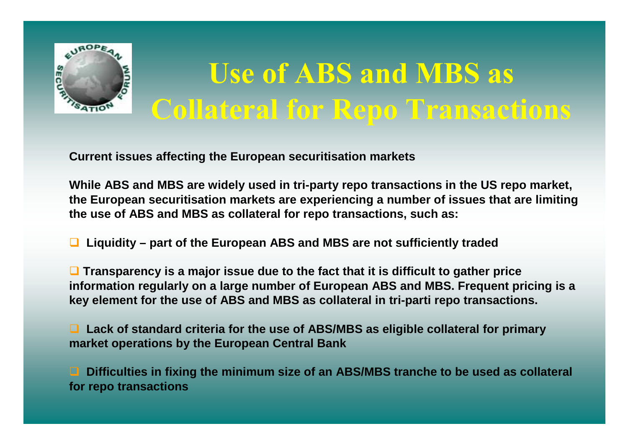

# **Use of ABS and MBS as Collateral for Repo Transactions**

**Current issues affecting the European securitisation markets**

**While ABS and MBS are widely used in tri-party repo transactions in the US repo market, the European securitisation markets are experiencing a number of issues that are limiting the use of ABS and MBS as collateral for repo transactions, such as:**

❏ **Liquidity – part of the European ABS and MBS are not sufficiently traded**

 **Transparency is a major issue due to the fact that it is difficult to gather price information regularly on a large number of European ABS and MBS. Frequent pricing is a key element for the use of ABS and MBS as collateral in tri-parti repo transactions.**

■ Lack of standard criteria for the use of ABS/MBS as eligible collateral for primary **market operations by the European Central Bank**

□ **Difficulties in fixing the minimum size of an ABS/MBS tranche to be used as collateral for repo transactions**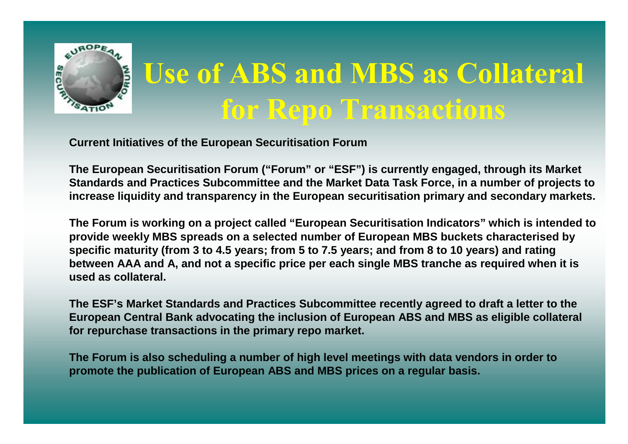

# **Use of ABS and MBS as Collateral for Repo Transactions**

**Current Initiatives of the European Securitisation Forum**

**The European Securitisation Forum ("Forum" or "ESF") is currently engaged, through its Market Standards and Practices Subcommittee and the Market Data Task Force, in a number of projects to increase liquidity and transparency in the European securitisation primary and secondary markets.**

**The Forum is working on a project called "European Securitisation Indicators" which is intended to provide weekly MBS spreads on a selected number of European MBS buckets characterised by specific maturity (from 3 to 4.5 years; from 5 to 7.5 years; and from 8 to 10 years) and rating between AAA and A, and not a specific price per each single MBS tranche as required when it is used as collateral.**

**The ESF's Market Standards and Practices Subcommittee recently agreed to draft a letter to the European Central Bank advocating the inclusion of European ABS and MBS as eligible collateral for repurchase transactions in the primary repo market.**

**The Forum is also scheduling a number of high level meetings with data vendors in order to promote the publication of European ABS and MBS prices on a regular basis.**